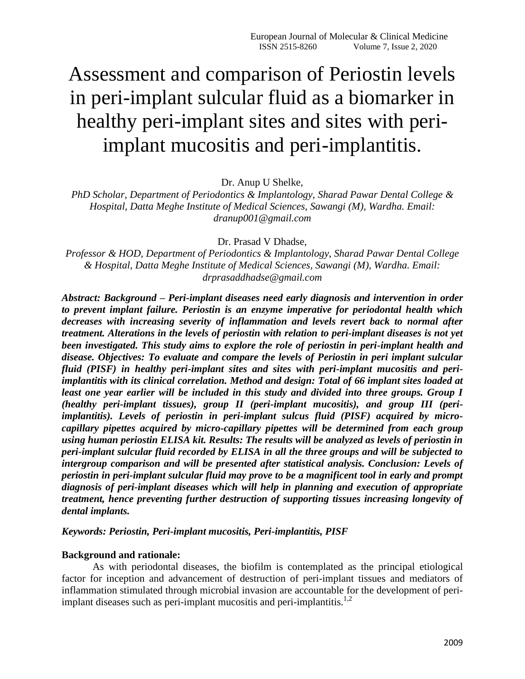# Assessment and comparison of Periostin levels in peri-implant sulcular fluid as a biomarker in healthy peri-implant sites and sites with periimplant mucositis and peri-implantitis.

Dr. Anup U Shelke,

*PhD Scholar, Department of Periodontics & Implantology, Sharad Pawar Dental College & Hospital, Datta Meghe Institute of Medical Sciences, Sawangi (M), Wardha. Email: dranup001@gmail.com* 

Dr. Prasad V Dhadse,

*Professor & HOD, Department of Periodontics & Implantology, Sharad Pawar Dental College & Hospital, Datta Meghe Institute of Medical Sciences, Sawangi (M), Wardha. Email: drprasaddhadse@gmail.com* 

*Abstract: Background – Peri-implant diseases need early diagnosis and intervention in order to prevent implant failure. Periostin is an enzyme imperative for periodontal health which decreases with increasing severity of inflammation and levels revert back to normal after treatment. Alterations in the levels of periostin with relation to peri-implant diseases is not yet been investigated. This study aims to explore the role of periostin in peri-implant health and disease. Objectives: To evaluate and compare the levels of Periostin in peri implant sulcular fluid (PISF) in healthy peri-implant sites and sites with peri-implant mucositis and periimplantitis with its clinical correlation. Method and design: Total of 66 implant sites loaded at*  least one year earlier will be included in this study and divided into three groups. Group I *(healthy peri-implant tissues), group II (peri-implant mucositis), and group III (periimplantitis). Levels of periostin in peri-implant sulcus fluid (PISF) acquired by microcapillary pipettes acquired by micro-capillary pipettes will be determined from each group using human periostin ELISA kit. Results: The results will be analyzed as levels of periostin in peri-implant sulcular fluid recorded by ELISA in all the three groups and will be subjected to intergroup comparison and will be presented after statistical analysis. Conclusion: Levels of periostin in peri-implant sulcular fluid may prove to be a magnificent tool in early and prompt diagnosis of peri-implant diseases which will help in planning and execution of appropriate treatment, hence preventing further destruction of supporting tissues increasing longevity of dental implants.* 

*Keywords: Periostin, Peri-implant mucositis, Peri-implantitis, PISF*

#### **Background and rationale:**

As with periodontal diseases, the biofilm is contemplated as the principal etiological factor for inception and advancement of destruction of peri-implant tissues and mediators of inflammation stimulated through microbial invasion are accountable for the development of periimplant diseases such as peri-implant mucositis and peri-implantitis.<sup>1,2</sup>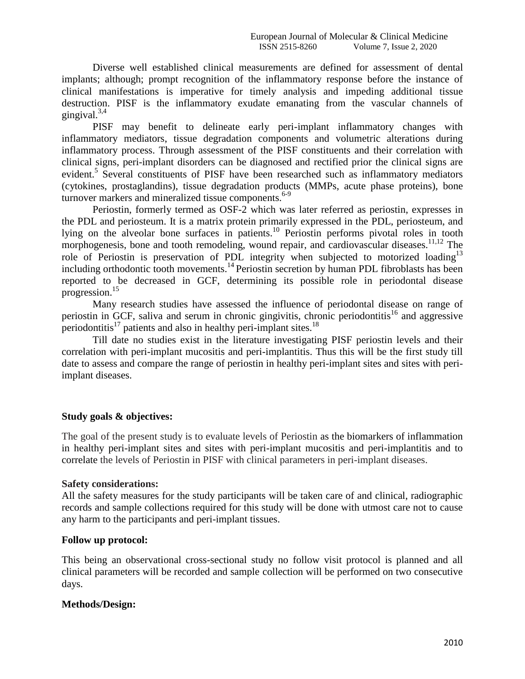Diverse well established clinical measurements are defined for assessment of dental implants; although; prompt recognition of the inflammatory response before the instance of clinical manifestations is imperative for timely analysis and impeding additional tissue destruction. PISF is the inflammatory exudate emanating from the vascular channels of gingival. $3,4$ 

PISF may benefit to delineate early peri-implant inflammatory changes with inflammatory mediators, tissue degradation components and volumetric alterations during inflammatory process. Through assessment of the PISF constituents and their correlation with clinical signs, peri-implant disorders can be diagnosed and rectified prior the clinical signs are evident.<sup>5</sup> Several constituents of PISF have been researched such as inflammatory mediators (cytokines, prostaglandins), tissue degradation products (MMPs, acute phase proteins), bone turnover markers and mineralized tissue components.<sup>6-9</sup>

Periostin, formerly termed as OSF-2 which was later referred as periostin, expresses in the PDL and periosteum. It is a matrix protein primarily expressed in the PDL, periosteum, and lying on the alveolar bone surfaces in patients.<sup>10</sup> Periostin performs pivotal roles in tooth morphogenesis, bone and tooth remodeling, wound repair, and cardiovascular diseases.<sup>11,12</sup> The role of Periostin is preservation of PDL integrity when subjected to motorized loading<sup>13</sup> including orthodontic tooth movements.<sup>14</sup> Periostin secretion by human PDL fibroblasts has been reported to be decreased in GCF, determining its possible role in periodontal disease progression.<sup>15</sup>

Many research studies have assessed the influence of periodontal disease on range of periostin in GCF, saliva and serum in chronic gingivitis, chronic periodontitis<sup>16</sup> and aggressive periodontitis<sup>17</sup> patients and also in healthy peri-implant sites.<sup>18</sup>

Till date no studies exist in the literature investigating PISF periostin levels and their correlation with peri-implant mucositis and peri-implantitis. Thus this will be the first study till date to assess and compare the range of periostin in healthy peri-implant sites and sites with periimplant diseases.

## **Study goals & objectives:**

The goal of the present study is to evaluate levels of Periostin as the biomarkers of inflammation in healthy peri-implant sites and sites with peri-implant mucositis and peri-implantitis and to correlate the levels of Periostin in PISF with clinical parameters in peri-implant diseases.

## **Safety considerations:**

All the safety measures for the study participants will be taken care of and clinical, radiographic records and sample collections required for this study will be done with utmost care not to cause any harm to the participants and peri-implant tissues.

# **Follow up protocol:**

This being an observational cross-sectional study no follow visit protocol is planned and all clinical parameters will be recorded and sample collection will be performed on two consecutive days.

## **Methods/Design:**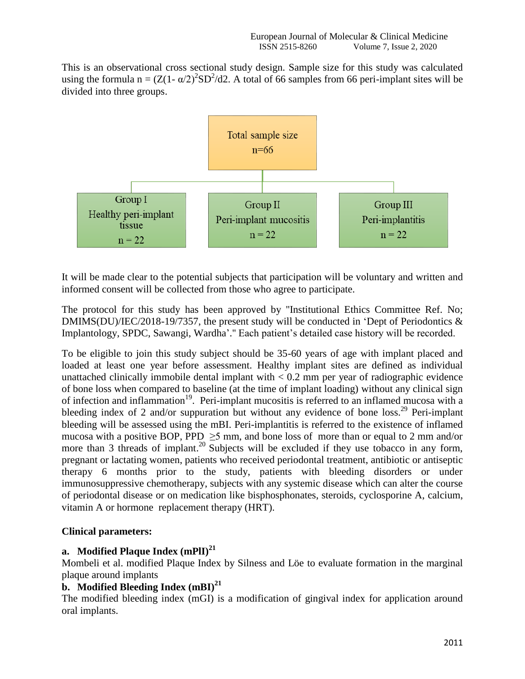This is an observational cross sectional study design. Sample size for this study was calculated using the formula  $n = (Z(1 - \alpha/2)^2 SD^2/d2)$ . A total of 66 samples from 66 peri-implant sites will be divided into three groups.



It will be made clear to the potential subjects that participation will be voluntary and written and informed consent will be collected from those who agree to participate.

The protocol for this study has been approved by ''Institutional Ethics Committee Ref. No; DMIMS(DU)/IEC/2018-19/7357, the present study will be conducted in 'Dept of Periodontics & Implantology, SPDC, Sawangi, Wardha'.'' Each patient's detailed case history will be recorded.

To be eligible to join this study subject should be 35-60 years of age with implant placed and loaded at least one year before assessment. Healthy implant sites are defined as individual unattached clinically immobile dental implant with  $< 0.2$  mm per year of radiographic evidence of bone loss when compared to baseline (at the time of implant loading) without any clinical sign of infection and inflammation<sup>19</sup>. Peri-implant mucositis is referred to an inflamed mucosa with a bleeding index of 2 and/or suppuration but without any evidence of bone  $loss.<sup>29</sup>$  Peri-implant bleeding will be assessed using the mBI. Peri-implantitis is referred to the existence of inflamed mucosa with a positive BOP, PPD  $\geq$ 5 mm, and bone loss of more than or equal to 2 mm and/or more than 3 threads of implant.<sup>20</sup> Subjects will be excluded if they use tobacco in any form, pregnant or lactating women, patients who received periodontal treatment, antibiotic or antiseptic therapy 6 months prior to the study, patients with bleeding disorders or under immunosuppressive chemotherapy, subjects with any systemic disease which can alter the course of periodontal disease or on medication like bisphosphonates, steroids, cyclosporine A, calcium, vitamin A or hormone replacement therapy (HRT).

# **Clinical parameters:**

# **a. Modified Plaque Index (mPlI)<sup>21</sup>**

Mombeli et al. modified Plaque Index by Silness and Löe to evaluate formation in the marginal plaque around implants

# **b. Modified Bleeding Index (mBI)<sup>21</sup>**

The modified bleeding index (mGI) is a modification of gingival index for application around oral implants.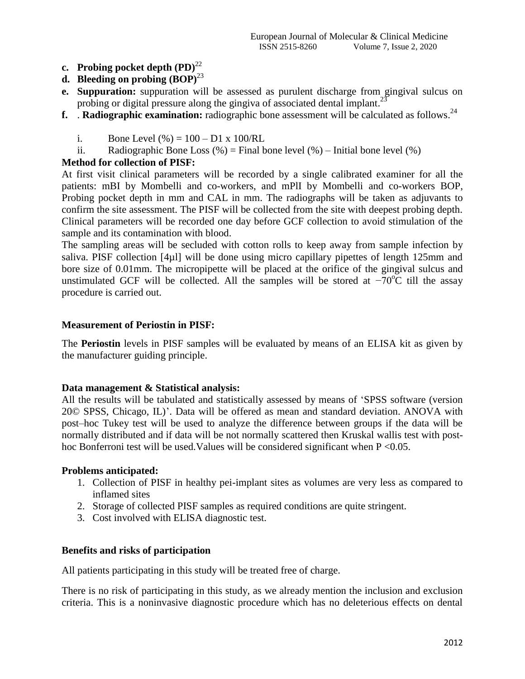- **c. Probing pocket depth**  $(PD)^{22}$
- **d. Bleeding on probing**  $(BOP)^{23}$
- **e. Suppuration:** suppuration will be assessed as purulent discharge from gingival sulcus on probing or digital pressure along the gingiva of associated dental implant.<sup>23</sup>
- **f.** Radiographic examination: radiographic bone assessment will be calculated as follows.<sup>24</sup>
	- i. Bone Level  $(\%)=100 D1 \times 100/RL$
	- ii. Radiographic Bone Loss  $(\%)$  = Final bone level  $(\%)$  Initial bone level  $(\%)$

## **Method for collection of PISF:**

At first visit clinical parameters will be recorded by a single calibrated examiner for all the patients: mBI by Mombelli and co-workers, and mPlI by Mombelli and co-workers BOP, Probing pocket depth in mm and CAL in mm. The radiographs will be taken as adjuvants to confirm the site assessment. The PISF will be collected from the site with deepest probing depth. Clinical parameters will be recorded one day before GCF collection to avoid stimulation of the sample and its contamination with blood.

The sampling areas will be secluded with cotton rolls to keep away from sample infection by saliva. PISF collection [4µl] will be done using micro capillary pipettes of length 125mm and bore size of 0.01mm. The micropipette will be placed at the orifice of the gingival sulcus and unstimulated GCF will be collected. All the samples will be stored at  $-70^{\circ}$ C till the assay procedure is carried out.

## **Measurement of Periostin in PISF:**

The **Periostin** levels in PISF samples will be evaluated by means of an ELISA kit as given by the manufacturer guiding principle.

## **Data management & Statistical analysis:**

All the results will be tabulated and statistically assessed by means of 'SPSS software (version 20© SPSS, Chicago, IL)'. Data will be offered as mean and standard deviation. ANOVA with post–hoc Tukey test will be used to analyze the difference between groups if the data will be normally distributed and if data will be not normally scattered then Kruskal wallis test with posthoc Bonferroni test will be used. Values will be considered significant when  $P \le 0.05$ .

## **Problems anticipated:**

- 1. Collection of PISF in healthy pei-implant sites as volumes are very less as compared to inflamed sites
- 2. Storage of collected PISF samples as required conditions are quite stringent.
- 3. Cost involved with ELISA diagnostic test.

## **Benefits and risks of participation**

All patients participating in this study will be treated free of charge.

There is no risk of participating in this study, as we already mention the inclusion and exclusion criteria. This is a noninvasive diagnostic procedure which has no deleterious effects on dental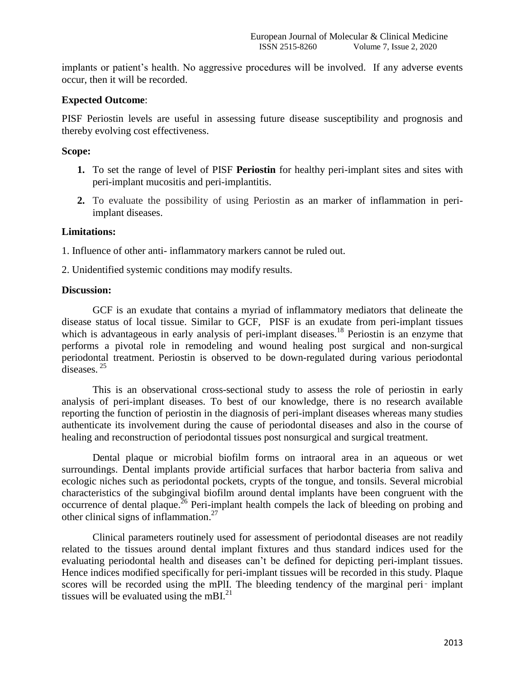implants or patient's health. No aggressive procedures will be involved. If any adverse events occur, then it will be recorded.

## **Expected Outcome**:

PISF Periostin levels are useful in assessing future disease susceptibility and prognosis and thereby evolving cost effectiveness.

#### **Scope:**

- **1.** To set the range of level of PISF **Periostin** for healthy peri-implant sites and sites with peri-implant mucositis and peri-implantitis.
- **2.** To evaluate the possibility of using Periostin as an marker of inflammation in periimplant diseases.

#### **Limitations:**

1. Influence of other anti- inflammatory markers cannot be ruled out.

2. Unidentified systemic conditions may modify results.

#### **Discussion:**

GCF is an exudate that contains a myriad of inflammatory mediators that delineate the disease status of local tissue. Similar to GCF, PISF is an exudate from peri-implant tissues which is advantageous in early analysis of peri-implant diseases.<sup>18</sup> Periostin is an enzyme that performs a pivotal role in remodeling and wound healing post surgical and non-surgical periodontal treatment. Periostin is observed to be down-regulated during various periodontal diseases.<sup>25</sup>

This is an observational cross-sectional study to assess the role of periostin in early analysis of peri-implant diseases. To best of our knowledge, there is no research available reporting the function of periostin in the diagnosis of peri-implant diseases whereas many studies authenticate its involvement during the cause of periodontal diseases and also in the course of healing and reconstruction of periodontal tissues post nonsurgical and surgical treatment.

Dental plaque or microbial biofilm forms on intraoral area in an aqueous or wet surroundings. Dental implants provide artificial surfaces that harbor bacteria from saliva and ecologic niches such as periodontal pockets, crypts of the tongue, and tonsils. Several microbial characteristics of the subgingival biofilm around dental implants have been congruent with the occurrence of dental plaque.<sup>26</sup> Peri-implant health compels the lack of bleeding on probing and other clinical signs of inflammation.<sup>27</sup>

Clinical parameters routinely used for assessment of periodontal diseases are not readily related to the tissues around dental implant fixtures and thus standard indices used for the evaluating periodontal health and diseases can't be defined for depicting peri-implant tissues. Hence indices modified specifically for peri-implant tissues will be recorded in this study. Plaque scores will be recorded using the mPlI. The bleeding tendency of the marginal peri– implant tissues will be evaluated using the mBI. $^{21}$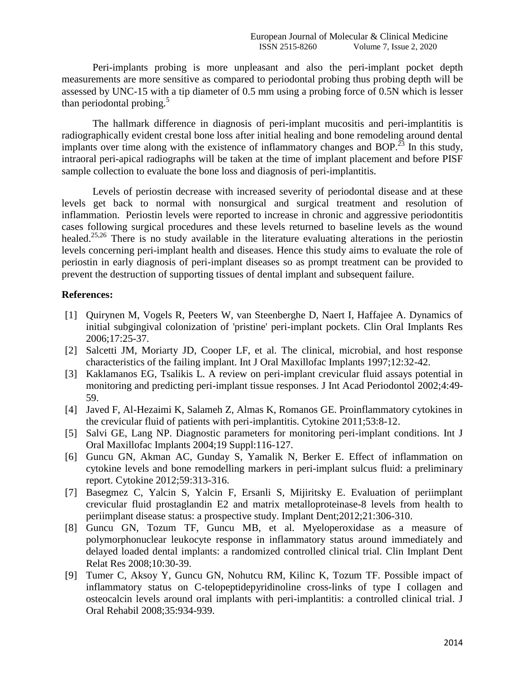Peri-implants probing is more unpleasant and also the peri-implant pocket depth measurements are more sensitive as compared to periodontal probing thus probing depth will be assessed by UNC-15 with a tip diameter of 0.5 mm using a probing force of 0.5N which is lesser than periodontal probing.<sup>5</sup>

The hallmark difference in diagnosis of peri-implant mucositis and peri-implantitis is radiographically evident crestal bone loss after initial healing and bone remodeling around dental implants over time along with the existence of inflammatory changes and BOP.<sup>23</sup> In this study, intraoral peri-apical radiographs will be taken at the time of implant placement and before PISF sample collection to evaluate the bone loss and diagnosis of peri-implantitis.

Levels of periostin decrease with increased severity of periodontal disease and at these levels get back to normal with nonsurgical and surgical treatment and resolution of inflammation. Periostin levels were reported to increase in chronic and aggressive periodontitis cases following surgical procedures and these levels returned to baseline levels as the wound healed.<sup>25,26</sup> There is no study available in the literature evaluating alterations in the periostin levels concerning peri-implant health and diseases. Hence this study aims to evaluate the role of periostin in early diagnosis of peri-implant diseases so as prompt treatment can be provided to prevent the destruction of supporting tissues of dental implant and subsequent failure.

#### **References:**

- [1] Quirynen M, Vogels R, Peeters W, van Steenberghe D, Naert I, Haffajee A. Dynamics of initial subgingival colonization of 'pristine' peri-implant pockets. Clin Oral Implants Res 2006;17:25-37.
- [2] Salcetti JM, Moriarty JD, Cooper LF, et al. The clinical, microbial, and host response characteristics of the failing implant. Int J Oral Maxillofac Implants 1997;12:32-42.
- [3] Kaklamanos EG, Tsalikis L. A review on peri-implant crevicular fluid assays potential in monitoring and predicting peri-implant tissue responses. J Int Acad Periodontol 2002;4:49- 59.
- [4] Javed F, Al-Hezaimi K, Salameh Z, Almas K, Romanos GE. Proinflammatory cytokines in the crevicular fluid of patients with peri-implantitis. Cytokine 2011;53:8-12.
- [5] Salvi GE, Lang NP. Diagnostic parameters for monitoring peri-implant conditions. Int J Oral Maxillofac Implants 2004;19 Suppl:116-127.
- [6] Guncu GN, Akman AC, Gunday S, Yamalik N, Berker E. Effect of inflammation on cytokine levels and bone remodelling markers in peri-implant sulcus fluid: a preliminary report. Cytokine 2012;59:313-316.
- [7] Basegmez C, Yalcin S, Yalcin F, Ersanli S, Mijiritsky E. Evaluation of periimplant crevicular fluid prostaglandin E2 and matrix metalloproteinase-8 levels from health to periimplant disease status: a prospective study. Implant Dent;2012;21:306-310.
- [8] Guncu GN, Tozum TF, Guncu MB, et al. Myeloperoxidase as a measure of polymorphonuclear leukocyte response in inflammatory status around immediately and delayed loaded dental implants: a randomized controlled clinical trial. Clin Implant Dent Relat Res 2008;10:30-39.
- [9] Tumer C, Aksoy Y, Guncu GN, Nohutcu RM, Kilinc K, Tozum TF. Possible impact of inflammatory status on C-telopeptidepyridinoline cross-links of type I collagen and osteocalcin levels around oral implants with peri-implantitis: a controlled clinical trial. J Oral Rehabil 2008;35:934-939.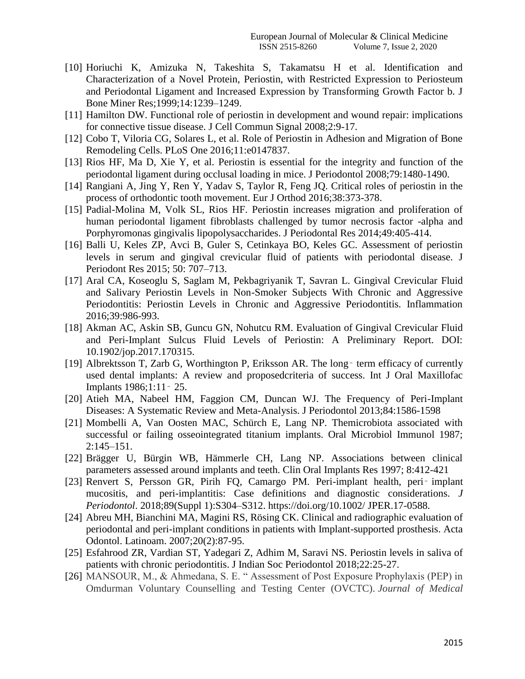- [10] Horiuchi K, Amizuka N, Takeshita S, Takamatsu H et al. Identification and Characterization of a Novel Protein, Periostin, with Restricted Expression to Periosteum and Periodontal Ligament and Increased Expression by Transforming Growth Factor b. J Bone Miner Res;1999;14:1239–1249.
- [11] Hamilton DW. Functional role of periostin in development and wound repair: implications for connective tissue disease. J Cell Commun Signal 2008;2:9-17.
- [12] Cobo T, Viloria CG, Solares L, et al. Role of Periostin in Adhesion and Migration of Bone Remodeling Cells. PLoS One 2016;11:e0147837.
- [13] Rios HF, Ma D, Xie Y, et al. Periostin is essential for the integrity and function of the periodontal ligament during occlusal loading in mice. J Periodontol 2008;79:1480-1490.
- [14] Rangiani A, Jing Y, Ren Y, Yadav S, Taylor R, Feng JQ. Critical roles of periostin in the process of orthodontic tooth movement. Eur J Orthod 2016;38:373-378.
- [15] Padial-Molina M, Volk SL, Rios HF. Periostin increases migration and proliferation of human periodontal ligament fibroblasts challenged by tumor necrosis factor -alpha and Porphyromonas gingivalis lipopolysaccharides. J Periodontal Res 2014;49:405-414.
- [16] Balli U, Keles ZP, Avci B, Guler S, Cetinkaya BO, Keles GC. Assessment of periostin levels in serum and gingival crevicular fluid of patients with periodontal disease. J Periodont Res 2015; 50: 707–713.
- [17] Aral CA, Koseoglu S, Saglam M, Pekbagriyanik T, Savran L. Gingival Crevicular Fluid and Salivary Periostin Levels in Non-Smoker Subjects With Chronic and Aggressive Periodontitis: Periostin Levels in Chronic and Aggressive Periodontitis. Inflammation 2016;39:986-993.
- [18] Akman AC, Askin SB, Guncu GN, Nohutcu RM. Evaluation of Gingival Crevicular Fluid and Peri-Implant Sulcus Fluid Levels of Periostin: A Preliminary Report. DOI: 10.1902/jop.2017.170315.
- [19] Albrektsson T, Zarb G, Worthington P, Eriksson AR. The long–term efficacy of currently used dental implants: A review and proposedcriteria of success. Int J Oral Maxillofac Implants 1986;1:11‑ 25.
- [20] Atieh MA, Nabeel HM, Faggion CM, Duncan WJ. The Frequency of Peri-Implant Diseases: A Systematic Review and Meta-Analysis. J Periodontol 2013;84:1586-1598
- [21] Mombelli A, Van Oosten MAC, Schürch E, Lang NP. Themicrobiota associated with successful or failing osseointegrated titanium implants. Oral Microbiol Immunol 1987; 2:145–151.
- [22] Brägger U, Bürgin WB, Hämmerle CH, Lang NP. Associations between clinical parameters assessed around implants and teeth. Clin Oral Implants Res 1997; 8:412-421
- [23] Renvert S, Persson GR, Pirih FQ, Camargo PM. Peri-implant health, peri-implant mucositis, and peri-implantitis: Case definitions and diagnostic considerations. *J Periodontol*. 2018;89(Suppl 1):S304–S312. https://doi.org/10.1002/ JPER.17-0588.
- [24] Abreu MH, Bianchini MA, Magini RS, Rösing CK. Clinical and radiographic evaluation of periodontal and peri-implant conditions in patients with Implant-supported prosthesis. Acta Odontol. Latinoam. 2007;20(2):87-95.
- [25] Esfahrood ZR, Vardian ST, Yadegari Z, Adhim M, Saravi NS. Periostin levels in saliva of patients with chronic periodontitis. J Indian Soc Periodontol 2018;22:25-27.
- [26] MANSOUR, M., & Ahmedana, S. E. " Assessment of Post Exposure Prophylaxis (PEP) in Omdurman Voluntary Counselling and Testing Center (OVCTC). *Journal of Medical*